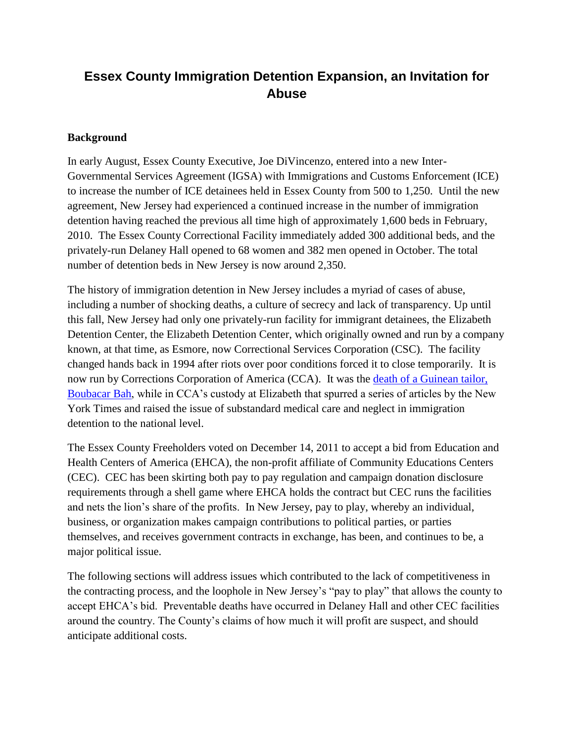## **Essex County Immigration Detention Expansion, an Invitation for Abuse**

#### **Background**

In early August, Essex County Executive, Joe DiVincenzo, entered into a new Inter-Governmental Services Agreement (IGSA) with Immigrations and Customs Enforcement (ICE) to increase the number of ICE detainees held in Essex County from 500 to 1,250. Until the new agreement, New Jersey had experienced a continued increase in the number of immigration detention having reached the previous all time high of approximately 1,600 beds in February, 2010. The Essex County Correctional Facility immediately added 300 additional beds, and the privately-run Delaney Hall opened to 68 women and 382 men opened in October. The total number of detention beds in New Jersey is now around 2,350.

The history of immigration detention in New Jersey includes a myriad of cases of abuse, including a number of shocking deaths, a culture of secrecy and lack of transparency. Up until this fall, New Jersey had only one privately-run facility for immigrant detainees, the Elizabeth Detention Center, the Elizabeth Detention Center, which originally owned and run by a company known, at that time, as Esmore, now Correctional Services Corporation (CSC). The facility changed hands back in 1994 after riots over poor conditions forced it to close temporarily. It is now run by Corrections Corporation of America (CCA). It was the [death of a Guinean tailor,](http://video.nytimes.com/video/2008/05/02/nyregion/1194817120909/the-death-of-boubacar-bah.html)  [Boubacar Bah,](http://video.nytimes.com/video/2008/05/02/nyregion/1194817120909/the-death-of-boubacar-bah.html) while in CCA"s custody at Elizabeth that spurred a series of articles by the New York Times and raised the issue of substandard medical care and neglect in immigration detention to the national level.

The Essex County Freeholders voted on December 14, 2011 to accept a bid from Education and Health Centers of America (EHCA), the non-profit affiliate of Community Educations Centers (CEC). CEC has been skirting both pay to pay regulation and campaign donation disclosure requirements through a shell game where EHCA holds the contract but CEC runs the facilities and nets the lion"s share of the profits. In New Jersey, pay to play, whereby an individual, business, or organization makes campaign contributions to political parties, or parties themselves, and receives government contracts in exchange, has been, and continues to be, a major political issue.

The following sections will address issues which contributed to the lack of competitiveness in the contracting process, and the loophole in New Jersey"s "pay to play" that allows the county to accept EHCA"s bid. Preventable deaths have occurred in Delaney Hall and other CEC facilities around the country. The County"s claims of how much it will profit are suspect, and should anticipate additional costs.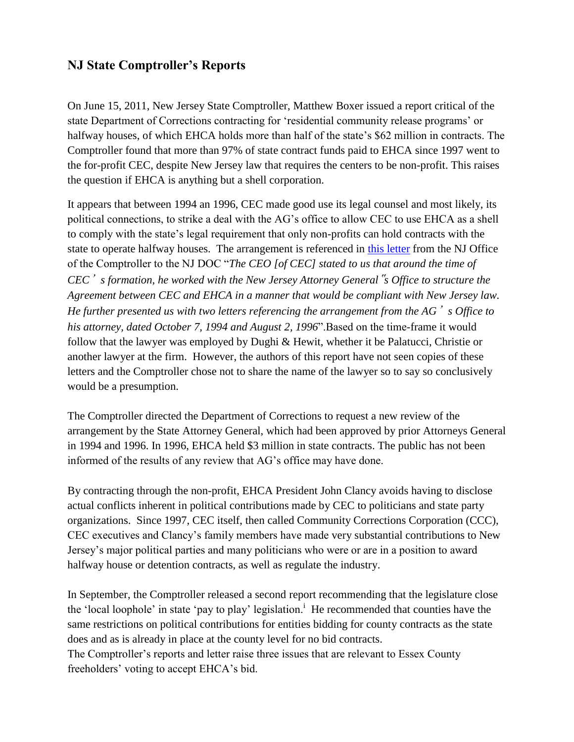## **NJ State Comptroller's Reports**

On June 15, 2011, New Jersey State Comptroller, Matthew Boxer issued a report critical of the state Department of Corrections contracting for "residential community release programs" or halfway houses, of which EHCA holds more than half of the state's \$62 million in contracts. The Comptroller found that more than 97% of state contract funds paid to EHCA since 1997 went to the for-profit CEC, despite New Jersey law that requires the centers to be non-profit. This raises the question if EHCA is anything but a shell corporation.

It appears that between 1994 an 1996, CEC made good use its legal counsel and most likely, its political connections, to strike a deal with the AG"s office to allow CEC to use EHCA as a shell to comply with the state"s legal requirement that only non-profits can hold contracts with the state to operate halfway houses. The arrangement is referenced in [this letter](http://www.nj.gov/comptroller/news/docs/doc_procurement_letter.pdf) from the NJ Office of the Comptroller to the NJ DOC "*The CEO [of CEC] stated to us that around the time of CEC*'*s formation, he worked with the New Jersey Attorney General*"*s Office to structure the Agreement between CEC and EHCA in a manner that would be compliant with New Jersey law. He further presented us with two letters referencing the arrangement from the AG*'*s Office to his attorney, dated October 7, 1994 and August 2, 1996*".Based on the time-frame it would follow that the lawyer was employed by Dughi & Hewit, whether it be Palatucci, Christie or another lawyer at the firm. However, the authors of this report have not seen copies of these letters and the Comptroller chose not to share the name of the lawyer so to say so conclusively would be a presumption.

The Comptroller directed the Department of Corrections to request a new review of the arrangement by the State Attorney General, which had been approved by prior Attorneys General in 1994 and 1996. In 1996, EHCA held \$3 million in state contracts. The public has not been informed of the results of any review that AG"s office may have done.

By contracting through the non-profit, EHCA President John Clancy avoids having to disclose actual conflicts inherent in political contributions made by CEC to politicians and state party organizations. Since 1997, CEC itself, then called Community Corrections Corporation (CCC), CEC executives and Clancy"s family members have made very substantial contributions to New Jersey"s major political parties and many politicians who were or are in a position to award halfway house or detention contracts, as well as regulate the industry.

In September, the Comptroller released a second report recommending that the legislature close the 'local loophole' in state 'pay to play' legislation.<sup>i</sup> He recommended that counties have the same restrictions on political contributions for entities bidding for county contracts as the state does and as is already in place at the county level for no bid contracts.

The Comptroller's reports and letter raise three issues that are relevant to Essex County freeholders' voting to accept EHCA's bid.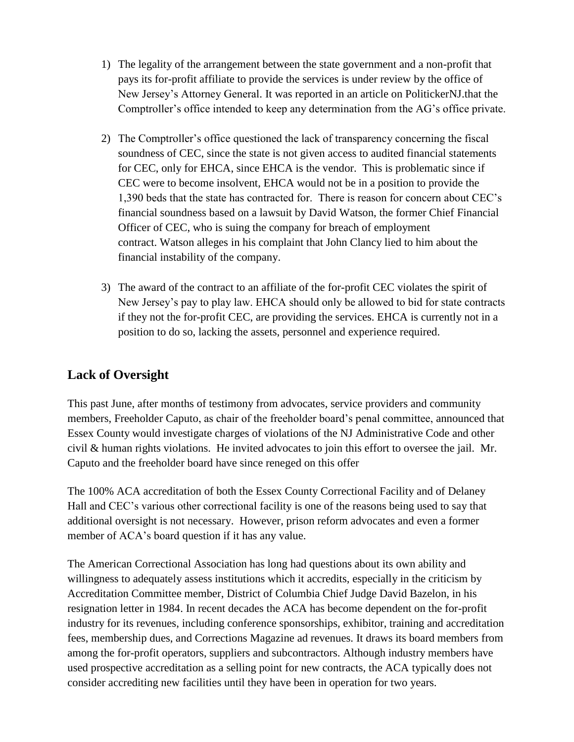- 1) The legality of the arrangement between the state government and a non-profit that pays its for-profit affiliate to provide the services is under review by the office of New Jersey"s Attorney General. It was reported in an article on PolitickerNJ.that the Comptroller's office intended to keep any determination from the AG's office private.
- 2) The Comptroller"s office questioned the lack of transparency concerning the fiscal soundness of CEC, since the state is not given access to audited financial statements for CEC, only for EHCA, since EHCA is the vendor. This is problematic since if CEC were to become insolvent, EHCA would not be in a position to provide the 1,390 beds that the state has contracted for. There is reason for concern about CEC"s financial soundness based on a lawsuit by David Watson, the former Chief Financial Officer of CEC, who is suing the company for breach of employment contract. Watson alleges in his complaint that John Clancy lied to him about the financial instability of the company.
- 3) The award of the contract to an affiliate of the for-profit CEC violates the spirit of New Jersey"s pay to play law. EHCA should only be allowed to bid for state contracts if they not the for-profit CEC, are providing the services. EHCA is currently not in a position to do so, lacking the assets, personnel and experience required.

## **Lack of Oversight**

This past June, after months of testimony from advocates, service providers and community members, Freeholder Caputo, as chair of the freeholder board"s penal committee, announced that Essex County would investigate charges of violations of the NJ Administrative Code and other civil & human rights violations. He invited advocates to join this effort to oversee the jail. Mr. Caputo and the freeholder board have since reneged on this offer

The 100% ACA accreditation of both the Essex County Correctional Facility and of Delaney Hall and CEC"s various other correctional facility is one of the reasons being used to say that additional oversight is not necessary. However, prison reform advocates and even a former member of ACA"s board question if it has any value.

The American Correctional Association has long had questions about its own ability and willingness to adequately assess institutions which it accredits, especially in the criticism by Accreditation Committee member, District of Columbia Chief Judge David Bazelon, in his resignation letter in 1984. In recent decades the ACA has become dependent on the for-profit industry for its revenues, including conference sponsorships, exhibitor, training and accreditation fees, membership dues, and Corrections Magazine ad revenues. It draws its board members from among the for-profit operators, suppliers and subcontractors. Although industry members have used prospective accreditation as a selling point for new contracts, the ACA typically does not consider accrediting new facilities until they have been in operation for two years.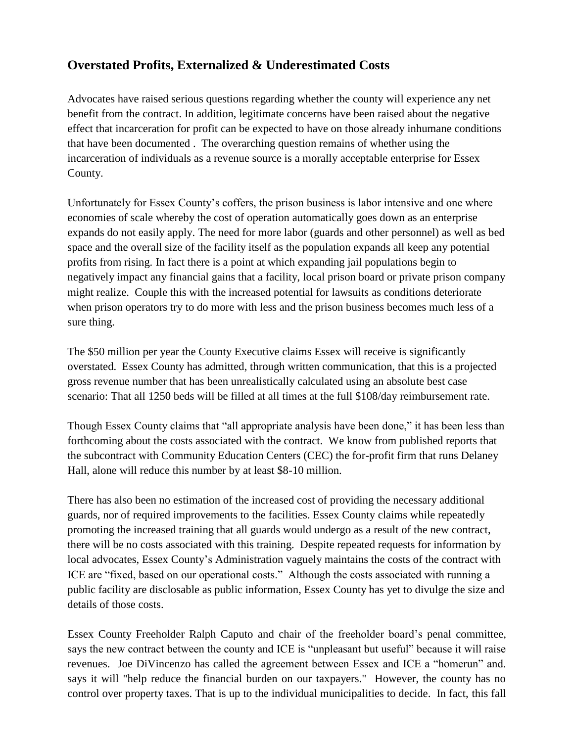## **Overstated Profits, Externalized & Underestimated Costs**

Advocates have raised serious questions regarding whether the county will experience any net benefit from the contract. In addition, legitimate concerns have been raised about the negative effect that incarceration for profit can be expected to have on those already inhumane conditions that have been documented . The overarching question remains of whether using the incarceration of individuals as a revenue source is a morally acceptable enterprise for Essex County.

Unfortunately for Essex County"s coffers, the prison business is labor intensive and one where economies of scale whereby the cost of operation automatically goes down as an enterprise expands do not easily apply. The need for more labor (guards and other personnel) as well as bed space and the overall size of the facility itself as the population expands all keep any potential profits from rising. In fact there is a point at which expanding jail populations begin to negatively impact any financial gains that a facility, local prison board or private prison company might realize. Couple this with the increased potential for lawsuits as conditions deteriorate when prison operators try to do more with less and the prison business becomes much less of a sure thing.

The \$50 million per year the County Executive claims Essex will receive is significantly overstated. Essex County has admitted, through written communication, that this is a projected gross revenue number that has been unrealistically calculated using an absolute best case scenario: That all 1250 beds will be filled at all times at the full \$108/day reimbursement rate.

Though Essex County claims that "all appropriate analysis have been done," it has been less than forthcoming about the costs associated with the contract. We know from published reports that the subcontract with Community Education Centers (CEC) the for-profit firm that runs Delaney Hall, alone will reduce this number by at least \$8-10 million.

There has also been no estimation of the increased cost of providing the necessary additional guards, nor of required improvements to the facilities. Essex County claims while repeatedly promoting the increased training that all guards would undergo as a result of the new contract, there will be no costs associated with this training. Despite repeated requests for information by local advocates, Essex County"s Administration vaguely maintains the costs of the contract with ICE are "fixed, based on our operational costs." Although the costs associated with running a public facility are disclosable as public information, Essex County has yet to divulge the size and details of those costs.

Essex County Freeholder Ralph Caputo and chair of the freeholder board"s penal committee, says the new contract between the county and ICE is "unpleasant but useful" because it will raise revenues. Joe DiVincenzo has called the agreement between Essex and ICE a "homerun" and. says it will "help reduce the financial burden on our taxpayers." However, the county has no control over property taxes. That is up to the individual municipalities to decide. In fact, this fall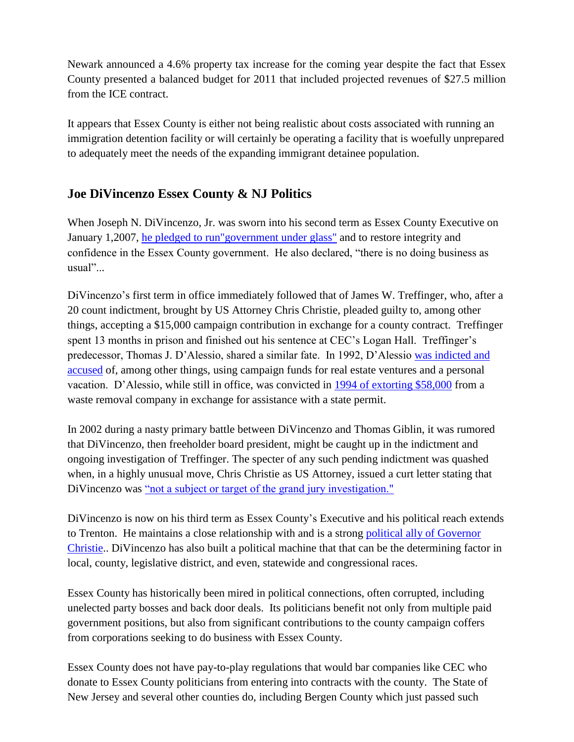Newark announced a 4.6% property tax increase for the coming year despite the fact that Essex County presented a balanced budget for 2011 that included projected revenues of \$27.5 million from the ICE contract.

It appears that Essex County is either not being realistic about costs associated with running an immigration detention facility or will certainly be operating a facility that is woefully unprepared to adequately meet the needs of the expanding immigrant detainee population.

## **Joe DiVincenzo Essex County & NJ Politics**

When Joseph N. DiVincenzo, Jr. was sworn into his second term as Essex County Executive on January 1,2007, [he pledged to run"government under glass"](https://www.facebook.com/pages/Essex-County-Executive-Joseph-N-DiVincenzo-Jr/114582574019?sk=info) and to restore integrity and confidence in the Essex County government. He also declared, "there is no doing business as usual"...

DiVincenzo"s first term in office immediately followed that of James W. Treffinger, who, after a 20 count indictment, brought by US Attorney Chris Christie, pleaded guilty to, among other things, accepting a \$15,000 campaign contribution in exchange for a county contract. Treffinger spent 13 months in prison and finished out his sentence at CEC's Logan Hall. Treffinger's predecessor, Thomas J. D"Alessio, shared a similar fate. In 1992, D"Alessio [was indicted and](http://www.nytimes.com/1992/10/09/nyregion/us-indicts-county-chief-in-newark.html)  [accused](http://www.nytimes.com/1992/10/09/nyregion/us-indicts-county-chief-in-newark.html) of, among other things, using campaign funds for real estate ventures and a personal vacation. D"Alessio, while still in office, was convicted in [1994 of extorting \\$58,000](http://www.nytimes.com/1994/02/22/nyregion/essex-county-executive-is-convicted-of-extortion.html) from a waste removal company in exchange for assistance with a state permit.

In 2002 during a nasty primary battle between DiVincenzo and Thomas Giblin, it was rumored that DiVincenzo, then freeholder board president, might be caught up in the indictment and ongoing investigation of Treffinger. The specter of any such pending indictment was quashed when, in a highly unusual move, Chris Christie as US Attorney, issued a curt letter stating that DiVincenzo was ["not a subject or target of the grand jury investigation."](http://www.politickernj.com/wallye/25821/payback-time-2002-christie-helped-divincenzo-will-golden-letter)

DiVincenzo is now on his third term as Essex County"s Executive and his political reach extends to Trenton. He maintains a close relationship with and is a strong [political ally of Governor](http://3164-politickernj-com.voxcdn.com/43808/christie-swears-divincenzo-third-term) [Christie.](http://3164-politickernj-com.voxcdn.com/43808/christie-swears-divincenzo-third-term). DiVincenzo has also built a political machine that that can be the determining factor in local, county, legislative district, and even, statewide and congressional races.

Essex County has historically been mired in political connections, often corrupted, including unelected party bosses and back door deals. Its politicians benefit not only from multiple paid government positions, but also from significant contributions to the county campaign coffers from corporations seeking to do business with Essex County.

Essex County does not have pay-to-play regulations that would bar companies like CEC who donate to Essex County politicians from entering into contracts with the county. The State of New Jersey and several other counties do, including Bergen County which just passed such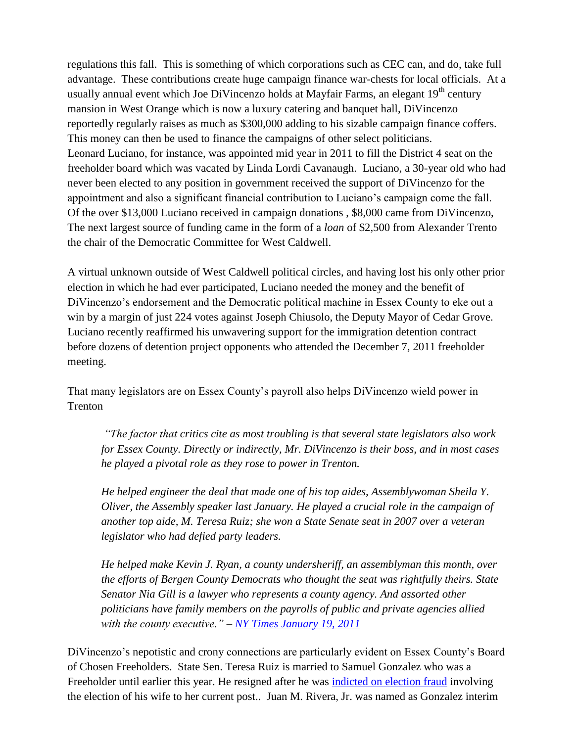regulations this fall. This is something of which corporations such as CEC can, and do, take full advantage. These contributions create huge campaign finance war-chests for local officials. At a usually annual event which Joe DiVincenzo holds at Mayfair Farms, an elegant  $19<sup>th</sup>$  century mansion in West Orange which is now a luxury catering and banquet hall, DiVincenzo reportedly regularly raises as much as \$300,000 adding to his sizable campaign finance coffers. This money can then be used to finance the campaigns of other select politicians. Leonard Luciano, for instance, was appointed mid year in 2011 to fill the District 4 seat on the freeholder board which was vacated by Linda Lordi Cavanaugh. Luciano, a 30-year old who had never been elected to any position in government received the support of DiVincenzo for the appointment and also a significant financial contribution to Luciano"s campaign come the fall. Of the over \$13,000 Luciano received in campaign donations , \$8,000 came from DiVincenzo, The next largest source of funding came in the form of a *loan* of \$2,500 from Alexander Trento the chair of the Democratic Committee for West Caldwell.

A virtual unknown outside of West Caldwell political circles, and having lost his only other prior election in which he had ever participated, Luciano needed the money and the benefit of DiVincenzo's endorsement and the Democratic political machine in Essex County to eke out a win by a margin of just 224 votes against Joseph Chiusolo, the Deputy Mayor of Cedar Grove. Luciano recently reaffirmed his unwavering support for the immigration detention contract before dozens of detention project opponents who attended the December 7, 2011 freeholder meeting.

That many legislators are on Essex County"s payroll also helps DiVincenzo wield power in Trenton

*"The factor that critics cite as most troubling is that several state legislators also work for Essex County. Directly or indirectly, Mr. DiVincenzo is their boss, and in most cases he played a pivotal role as they rose to power in Trenton.* 

*He helped engineer the deal that made one of his top aides, Assemblywoman Sheila Y. Oliver, the Assembly speaker last January. He played a crucial role in the campaign of another top aide, M. Teresa Ruiz; she won a State Senate seat in 2007 over a veteran legislator who had defied party leaders.* 

*He helped make Kevin J. Ryan, a county undersheriff, an assemblyman this month, over the efforts of Bergen County Democrats who thought the seat was rightfully theirs. State Senator Nia Gill is a lawyer who represents a county agency. And assorted other politicians have family members on the payrolls of public and private agencies allied with the county executive." – [NY Times January 19, 2011](http://www.nytimes.com/2011/01/19/nyregion/19divincenzo.html?pagewanted=all)*

DiVincenzo"s nepotistic and crony connections are particularly evident on Essex County"s Board of Chosen Freeholders. State Sen. Teresa Ruiz is married to Samuel Gonzalez who was a Freeholder until earlier this year. He resigned after he was [indicted on election fraud](http://www.nj.com/news/index.ssf/2011/03/essex_county_freeholder_samuel_1.html) involving the election of his wife to her current post.. Juan M. Rivera, Jr. was named as Gonzalez interim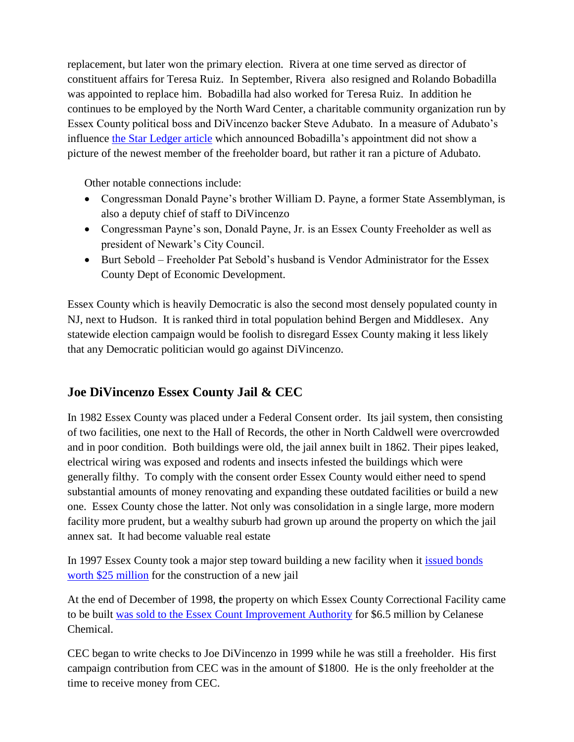replacement, but later won the primary election. Rivera at one time served as director of constituent affairs for Teresa Ruiz. In September, Rivera also resigned and Rolando Bobadilla was appointed to replace him. Bobadilla had also worked for Teresa Ruiz. In addition he continues to be employed by the North Ward Center, a charitable community organization run by Essex County political boss and DiVincenzo backer Steve Adubato. In a measure of Adubato"s influence [the Star Ledger article](../Local%20Settings/Temporary%20Internet%20Files/OLK53/.%20http:/www.nj.com/news/index.ssf/2011/09/newark_leader_appointed_as_ess.html) which announced Bobadilla"s appointment did not show a picture of the newest member of the freeholder board, but rather it ran a picture of Adubato.

Other notable connections include:

- Congressman Donald Payne's brother William D. Payne, a former State Assemblyman, is also a deputy chief of staff to DiVincenzo
- Congressman Payne's son, Donald Payne, Jr. is an Essex County Freeholder as well as president of Newark"s City Council.
- Burt Sebold Freeholder Pat Sebold"s husband is Vendor Administrator for the Essex County Dept of Economic Development.

Essex County which is heavily Democratic is also the second most densely populated county in NJ, next to Hudson. It is ranked third in total population behind Bergen and Middlesex. Any statewide election campaign would be foolish to disregard Essex County making it less likely that any Democratic politician would go against DiVincenzo.

## **Joe DiVincenzo Essex County Jail & CEC**

In 1982 Essex County was placed under a Federal Consent order. Its jail system, then consisting of two facilities, one next to the Hall of Records, the other in North Caldwell were overcrowded and in poor condition. Both buildings were old, the jail annex built in 1862. Their pipes leaked, electrical wiring was exposed and rodents and insects infested the buildings which were generally filthy. To comply with the consent order Essex County would either need to spend substantial amounts of money renovating and expanding these outdated facilities or build a new one. Essex County chose the latter. Not only was consolidation in a single large, more modern facility more prudent, but a wealthy suburb had grown up around the property on which the jail annex sat. It had become valuable real estate

In 1997 Essex County took a major step toward building a new facility when it [issued bonds](http://www.essex-countynj.org/pr/print/22403.htm)  [worth \\$25 million](http://www.essex-countynj.org/pr/print/22403.htm) for the construction of a new jail

At the end of December of 1998, **t**he property on which Essex County Correctional Facility came to be built [was sold to the Essex Count Improvement Authority](http://nj.natefind.com/property/1011066503-354374-doremus-ave-newark-nj) for \$6.5 million by Celanese Chemical.

CEC began to write checks to Joe DiVincenzo in 1999 while he was still a freeholder. His first campaign contribution from CEC was in the amount of \$1800. He is the only freeholder at the time to receive money from CEC.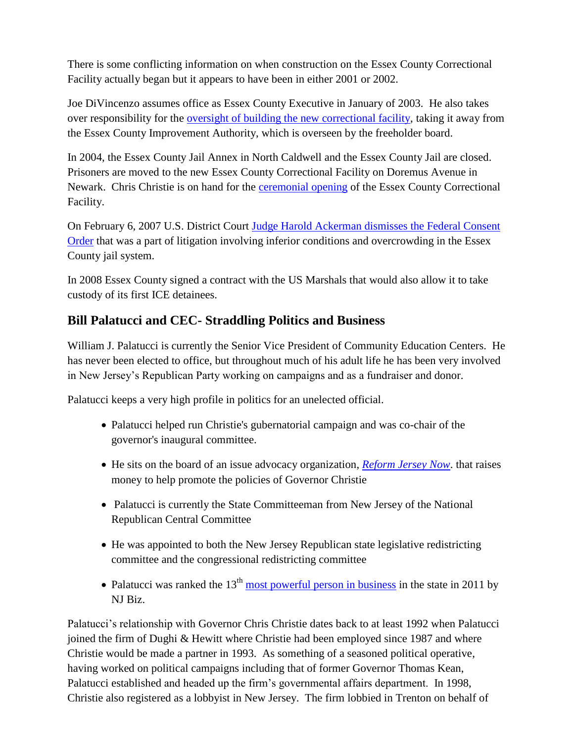There is some conflicting information on when construction on the Essex County Correctional Facility actually began but it appears to have been in either 2001 or 2002.

Joe DiVincenzo assumes office as Essex County Executive in January of 2003. He also takes over responsibility for the [oversight of building the new correctional facility,](http://www.essex-countynj.org/pr/doc/1603.doc) taking it away from the Essex County Improvement Authority, which is overseen by the freeholder board.

In 2004, the Essex County Jail Annex in North Caldwell and the Essex County Jail are closed. Prisoners are moved to the new Essex County Correctional Facility on Doremus Avenue in Newark. Chris Christie is on hand for the [ceremonial opening](http://www.essex-countynj.org/pr/print/1604.htm) of the Essex County Correctional Facility.

On February 6, 2007 U.S. District Court [Judge Harold Ackerman dismisses the Federal Consent](http://www.essex-countynj.org/index.php?section=pr/print/020607)  [Order](http://www.essex-countynj.org/index.php?section=pr/print/020607) that was a part of litigation involving inferior conditions and overcrowding in the Essex County jail system.

In 2008 Essex County signed a contract with the US Marshals that would also allow it to take custody of its first ICE detainees.

## **Bill Palatucci and CEC- Straddling Politics and Business**

William J. Palatucci is currently the Senior Vice President of Community Education Centers. He has never been elected to office, but throughout much of his adult life he has been very involved in New Jersey"s Republican Party working on campaigns and as a fundraiser and donor.

Palatucci keeps a very high profile in politics for an unelected official.

- Palatucci helped run Christie's gubernatorial campaign and was co-chair of the governor's inaugural committee.
- He sits on the board of an issue advocacy organization, *[Reform Jersey Now](http://www.nj.com/news/index.ssf/2010/12/reform_jersey_now_raises_624k.html)*. that raises money to help promote the policies of Governor Christie
- Palatucci is currently the State Committeeman from New Jersey of the National Republican Central Committee
- He was appointed to both the New Jersey Republican state legislative redistricting committee and the congressional redistricting committee
- Palatucci was ranked the  $13<sup>th</sup>$  [most powerful person in business](https://www.qualcareinc.com/Forms/1%2031%2011%20NJBIZ%20Top%20100%20Powerful%20People%20in%20NJ.pdf) in the state in 2011 by NJ Biz.

Palatucci's relationship with Governor Chris Christie dates back to at least 1992 when Palatucci joined the firm of Dughi & Hewitt where Christie had been employed since 1987 and where Christie would be made a partner in 1993. As something of a seasoned political operative, having worked on political campaigns including that of former Governor Thomas Kean, Palatucci established and headed up the firm's governmental affairs department. In 1998, Christie also registered as a lobbyist in New Jersey. The firm lobbied in Trenton on behalf of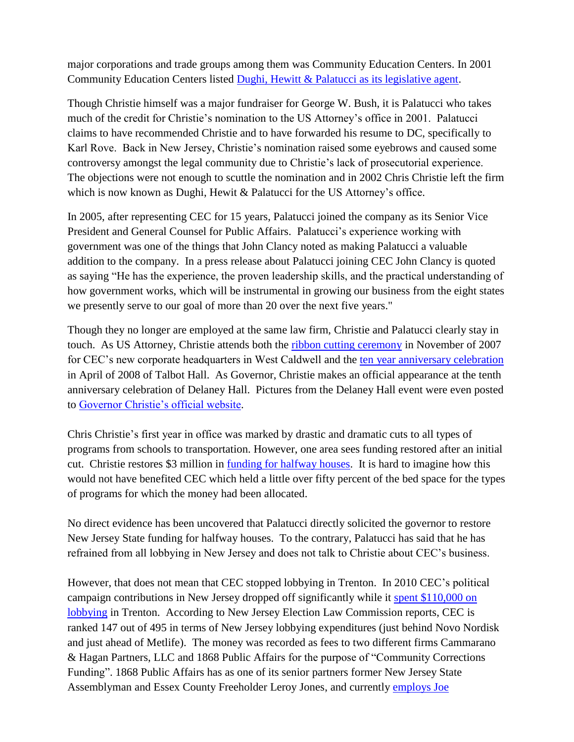major corporations and trade groups among them was Community Education Centers. In 2001 Community Education Centers listed [Dughi, Hewitt & Palatucci as its legislative agent.](http://www.elec.state.nj.us/pdffiles/Lobby01/l2l.pdf)

Though Christie himself was a major fundraiser for George W. Bush, it is Palatucci who takes much of the credit for Christie's nomination to the US Attorney's office in 2001. Palatucci claims to have recommended Christie and to have forwarded his resume to DC, specifically to Karl Rove. Back in New Jersey, Christie"s nomination raised some eyebrows and caused some controversy amongst the legal community due to Christie"s lack of prosecutorial experience. The objections were not enough to scuttle the nomination and in 2002 Chris Christie left the firm which is now known as Dughi, Hewit & Palatucci for the US Attorney's office.

In 2005, after representing CEC for 15 years, Palatucci joined the company as its Senior Vice President and General Counsel for Public Affairs. Palatucci's experience working with government was one of the things that John Clancy noted as making Palatucci a valuable addition to the company. In a press release about Palatucci joining CEC John Clancy is quoted as saying "He has the experience, the proven leadership skills, and the practical understanding of how government works, which will be instrumental in growing our business from the eight states we presently serve to our goal of more than 20 over the next five years."

Though they no longer are employed at the same law firm, Christie and Palatucci clearly stay in touch. As US Attorney, Christie attends both the [ribbon cutting ceremony](http://www.cecintl.com/news_2007_42.html) in November of 2007 for CEC"s new corporate headquarters in West Caldwell and the [ten year anniversary celebration](http://www.cecintl.com/news_2008_11.html) in April of 2008 of Talbot Hall. As Governor, Christie makes an official appearance at the tenth anniversary celebration of Delaney Hall. Pictures from the Delaney Hall event were even posted to Governor Christie's official website.

Chris Christie"s first year in office was marked by drastic and dramatic cuts to all types of programs from schools to transportation. However, one area sees funding restored after an initial cut. Christie restores \$3 million in [funding for halfway houses.](https://www.prisonlegalnews.org/%28S%28jsvqxj551jadatrr3uism3e3%29%29/23108_displayArticle.aspx) It is hard to imagine how this would not have benefited CEC which held a little over fifty percent of the bed space for the types of programs for which the money had been allocated.

No direct evidence has been uncovered that Palatucci directly solicited the governor to restore New Jersey State funding for halfway houses. To the contrary, Palatucci has said that he has refrained from all lobbying in New Jersey and does not talk to Christie about CEC"s business.

However, that does not mean that CEC stopped lobbying in Trenton. In 2010 CEC"s political campaign contributions in New Jersey dropped off significantly while it spent \$110,000 on [lobbying](http://www.elec.state.nj.us/pdffiles/Lobby10/l1exp.pdf) in Trenton. According to New Jersey Election Law Commission reports, CEC is ranked 147 out of 495 in terms of New Jersey lobbying expenditures (just behind Novo Nordisk and just ahead of Metlife). The money was recorded as fees to two different firms Cammarano & Hagan Partners, LLC and 1868 Public Affairs for the purpose of "Community Corrections Funding". 1868 Public Affairs has as one of its senior partners former New Jersey State Assemblyman and Essex County Freeholder Leroy Jones, and currently [employs Joe](http://ehub24.webhostinghub.com/~n868pu5/our-team.html)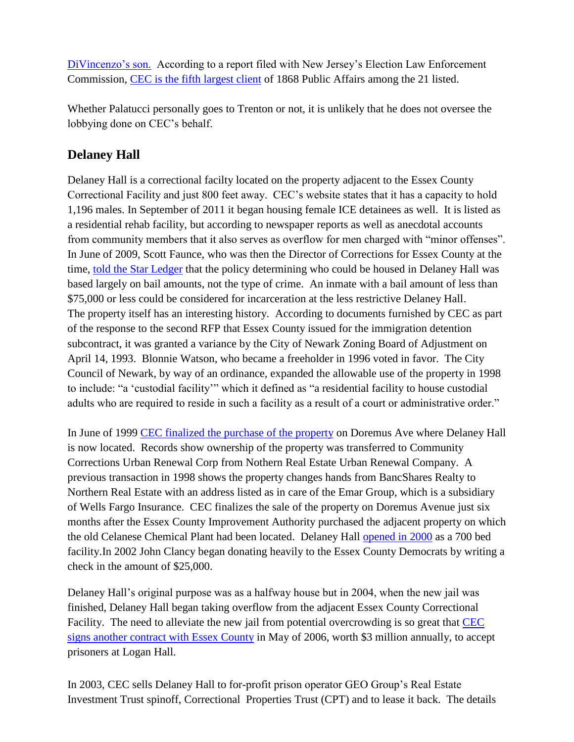DiVincenzo"s son. According to a report filed with New Jersey"s Election Law Enforcement Commission, [CEC is the fifth largest client](http://www.elec.state.nj.us/pdffiles/L1A_scans_2010/A10_1868_public_affairs_llc_a1.pdf) of 1868 Public Affairs among the 21 listed.

Whether Palatucci personally goes to Trenton or not, it is unlikely that he does not oversee the lobbying done on CEC"s behalf.

## **Delaney Hall**

Delaney Hall is a correctional facilty located on the property adjacent to the Essex County Correctional Facility and just 800 feet away. CEC"s website states that it has a capacity to hold 1,196 males. In September of 2011 it began housing female ICE detainees as well. It is listed as a residential rehab facility, but according to newspaper reports as well as anecdotal accounts from community members that it also serves as overflow for men charged with "minor offenses". In June of 2009, Scott Faunce, who was then the Director of Corrections for Essex County at the time, [told the Star Ledger](http://www.nj.com/news/index.ssf/2009/06/homicide_of_newark_barber_in_d.html) that the policy determining who could be housed in Delaney Hall was based largely on bail amounts, not the type of crime. An inmate with a bail amount of less than \$75,000 or less could be considered for incarceration at the less restrictive Delaney Hall. The property itself has an interesting history.According to documents furnished by CEC as part of the response to the second RFP that Essex County issued for the immigration detention subcontract, it was granted a variance by the City of Newark Zoning Board of Adjustment on April 14, 1993. Blonnie Watson, who became a freeholder in 1996 voted in favor. The City Council of Newark, by way of an ordinance, expanded the allowable use of the property in 1998 to include: "a "custodial facility"" which it defined as "a residential facility to house custodial adults who are required to reside in such a facility as a result of a court or administrative order."

In June of 1999 [CEC finalized the purchase of the property](http://tax1.co.monmouth.nj.us/cgi-bin/m4.cgi?&district=0714&block=5060&lot=154&qual) on Doremus Ave where Delaney Hall is now located. Records show ownership of the property was transferred to Community Corrections Urban Renewal Corp from Nothern Real Estate Urban Renewal Company. A previous transaction in 1998 shows the property changes hands from BancShares Realty to Northern Real Estate with an address listed as in care of the Emar Group, which is a subsidiary of Wells Fargo Insurance. CEC finalizes the sale of the property on Doremus Avenue just six months after the Essex County Improvement Authority purchased the adjacent property on which the old Celanese Chemical Plant had been located. Delaney Hall [opened in 2000](http://www.cecintl.com/facilities_rr_nj_006.html) as a 700 bed facility.In 2002 John Clancy began donating heavily to the Essex County Democrats by writing a check in the amount of \$25,000.

Delaney Hall"s original purpose was as a halfway house but in 2004, when the new jail was finished, Delaney Hall began taking overflow from the adjacent Essex County Correctional Facility. The need to alleviate the new jail from potential overcrowding is so great that [CEC](http://sentencing.nj.gov/downloads/pdf/articles/2006/Oct2006/news07.pdf)  [signs another contract with Essex County](http://sentencing.nj.gov/downloads/pdf/articles/2006/Oct2006/news07.pdf) in May of 2006, worth \$3 million annually, to accept prisoners at Logan Hall.

In 2003, CEC sells Delaney Hall to for-profit prison operator GEO Group"s Real Estate Investment Trust spinoff, Correctional Properties Trust (CPT) and to lease it back. The details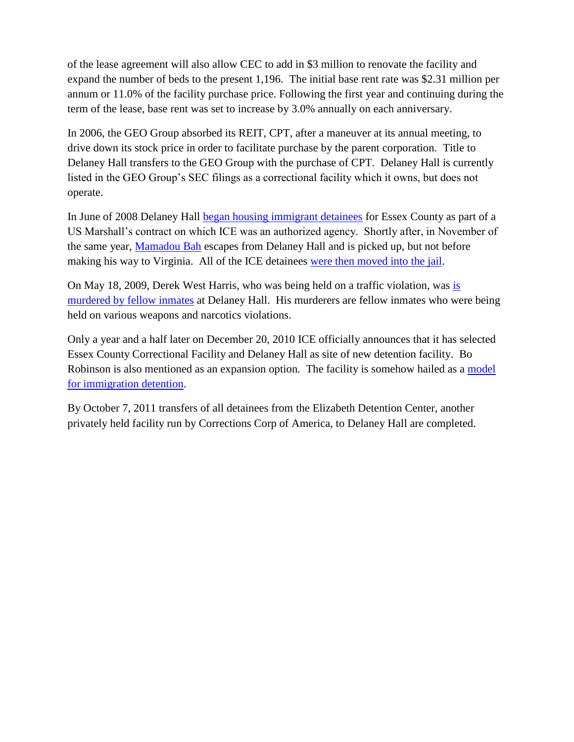of the lease agreement will also allow CEC to add in \$3 million to renovate the facility and expand the number of beds to the present 1,196. The initial base rent rate was \$2.31 million per annum or 11.0% of the facility purchase price. Following the first year and continuing during the term of the lease, base rent was set to increase by 3.0% annually on each anniversary.

In 2006, the GEO Group absorbed its REIT, CPT, after a maneuver at its annual meeting, to drive down its stock price in order to facilitate purchase by the parent corporation. Title to Delaney Hall transfers to the GEO Group with the purchase of CPT. Delaney Hall is currently listed in the GEO Group's SEC filings as a correctional facility which it owns, but does not operate.

In June of 2008 Delaney Hall [began housing immigrant detainees](http://www.nj.com/newark/index.ssf/2008/07/jailing_federal_inmates_draws.html) for Essex County as part of a US Marshall"s contract on which ICE was an authorized agency. Shortly after, in November of the same year, [Mamadou Bah](http://www.nj.com/newark/index.ssf/2008/11/120_detainees_moved_to_essex_c.html) escapes from Delaney Hall and is picked up, but not before making his way to Virginia. All of the ICE detainees [were then moved into the jail.](http://www.nj.com/newark/index.ssf/2008/11/120_detainees_moved_to_essex_c.html)

On May 18, 2009, Derek West Harris, who was being held on a traffic violation, was [is](http://www.nj.com/news/index.ssf/2009/05/2_newark_men_plead_guilty_to_k.html)  [murdered by fellow inmates](http://www.nj.com/news/index.ssf/2009/05/2_newark_men_plead_guilty_to_k.html) at Delaney Hall. His murderers are fellow inmates who were being held on various weapons and narcotics violations.

Only a year and a half later on December 20, 2010 ICE officially announces that it has selected Essex County Correctional Facility and Delaney Hall as site of new detention facility. Bo Robinson is also mentioned as an expansion option. The facility is somehow hailed as a model [for immigration detention.](http://www.nytimes.com/2011/01/28/nyregion/28detain.html?pagewanted=all)

By October 7, 2011 transfers of all detainees from the Elizabeth Detention Center, another privately held facility run by Corrections Corp of America, to Delaney Hall are completed.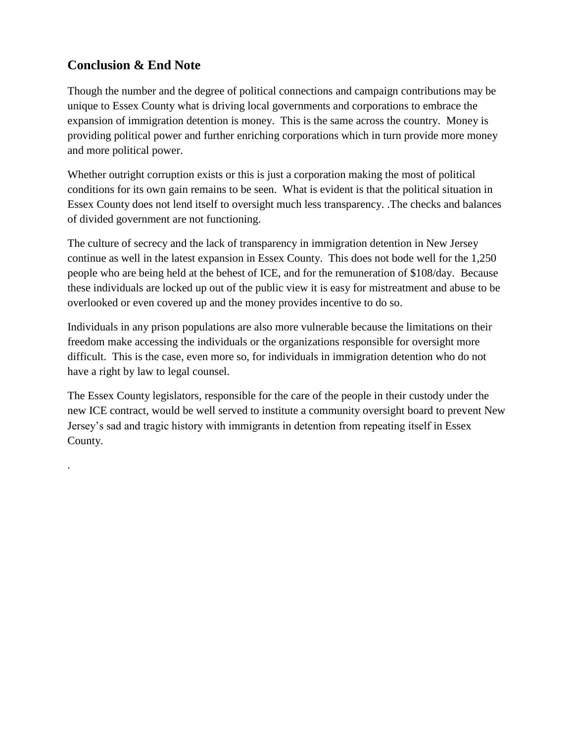### **Conclusion & End Note**

.

Though the number and the degree of political connections and campaign contributions may be unique to Essex County what is driving local governments and corporations to embrace the expansion of immigration detention is money. This is the same across the country. Money is providing political power and further enriching corporations which in turn provide more money and more political power.

Whether outright corruption exists or this is just a corporation making the most of political conditions for its own gain remains to be seen. What is evident is that the political situation in Essex County does not lend itself to oversight much less transparency. .The checks and balances of divided government are not functioning.

The culture of secrecy and the lack of transparency in immigration detention in New Jersey continue as well in the latest expansion in Essex County. This does not bode well for the 1,250 people who are being held at the behest of ICE, and for the remuneration of \$108/day. Because these individuals are locked up out of the public view it is easy for mistreatment and abuse to be overlooked or even covered up and the money provides incentive to do so.

Individuals in any prison populations are also more vulnerable because the limitations on their freedom make accessing the individuals or the organizations responsible for oversight more difficult. This is the case, even more so, for individuals in immigration detention who do not have a right by law to legal counsel.

The Essex County legislators, responsible for the care of the people in their custody under the new ICE contract, would be well served to institute a community oversight board to prevent New Jersey"s sad and tragic history with immigrants in detention from repeating itself in Essex County.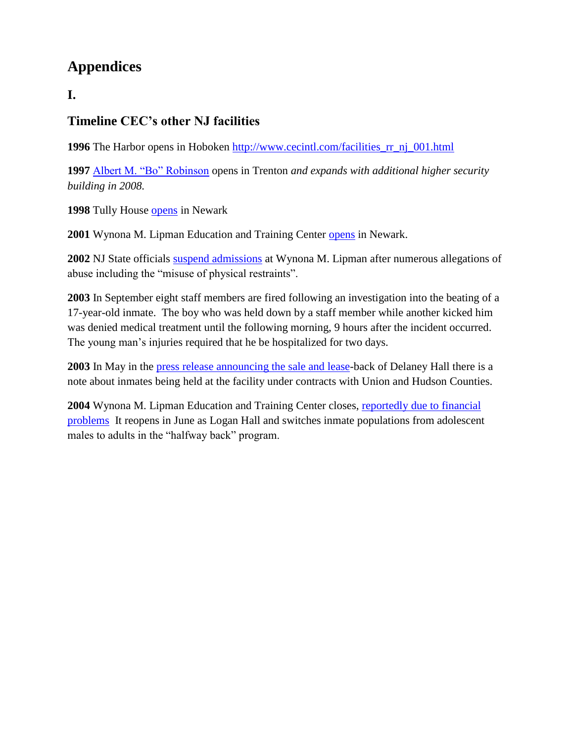# **Appendices**

## **I.**

## **Timeline CEC's other NJ facilities**

**1996** The Harbor opens in Hoboken [http://www.cecintl.com/facilities\\_rr\\_nj\\_001.html](http://www.cecintl.com/facilities_rr_nj_001.html)

**1997** [Albert M. "Bo" Robinson](http://www.cecintl.com/facilities_rr_nj_002.html) opens in Trenton *and expands with additional higher security building in 2008.*

**1998** Tully House [opens](http://www.cecintl.com/facilities_rr_nj_004.html) in Newark

**2001** Wynona M. Lipman Education and Training Center [opens](http://www.cecintl.com/news_2006_43.html) in Newark.

**2002** NJ State officials [suspend admissions](http://www.nytimes.com/2003/09/20/nyregion/new-jersey-suspends-youth-home-admissions-after-a-beating.html) at Wynona M. Lipman after numerous allegations of abuse including the "misuse of physical restraints".

**2003** In September eight staff members are fired following an investigation into the beating of a 17-year-old inmate. The boy who was held down by a staff member while another kicked him was denied medical treatment until the following morning, 9 hours after the incident occurred. The young man"s injuries required that he be hospitalized for two days.

**2003** In May in the [press release announcing the sale and lease-](http://goliath.ecnext.com/coms2/gi_0199-2820776/Correctional-Properties-Trust-Announces-Acquisition.html)back of Delaney Hall there is a note about inmates being held at the facility under contracts with Union and Hudson Counties.

**2004** Wynona M. Lipman Education and Training Center closes, [reportedly due to financial](http://www.corrections.com/articles/2683)  [problems](http://www.corrections.com/articles/2683) It reopens in June as Logan Hall and switches inmate populations from adolescent males to adults in the "halfway back" program.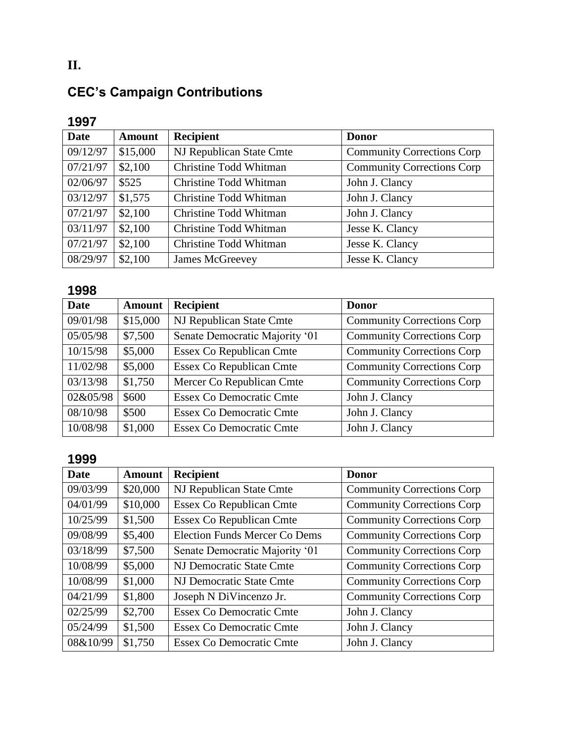# **CEC's Campaign Contributions**

# **1997**

| <b>Date</b> | <b>Amount</b> | <b>Recipient</b>              | <b>Donor</b>                      |
|-------------|---------------|-------------------------------|-----------------------------------|
| 09/12/97    | \$15,000      | NJ Republican State Cmte      | <b>Community Corrections Corp</b> |
| 07/21/97    | \$2,100       | <b>Christine Todd Whitman</b> | <b>Community Corrections Corp</b> |
| 02/06/97    | \$525         | Christine Todd Whitman        | John J. Clancy                    |
| 03/12/97    | \$1,575       | Christine Todd Whitman        | John J. Clancy                    |
| 07/21/97    | \$2,100       | Christine Todd Whitman        | John J. Clancy                    |
| 03/11/97    | \$2,100       | Christine Todd Whitman        | Jesse K. Clancy                   |
| 07/21/97    | \$2,100       | Christine Todd Whitman        | Jesse K. Clancy                   |
| 08/29/97    | \$2,100       | James McGreevey               | Jesse K. Clancy                   |

## **1998**

| <b>Date</b> | <b>Amount</b> | <b>Recipient</b>                | <b>Donor</b>                      |
|-------------|---------------|---------------------------------|-----------------------------------|
| 09/01/98    | \$15,000      | NJ Republican State Cmte        | <b>Community Corrections Corp</b> |
| 05/05/98    | \$7,500       | Senate Democratic Majority '01  | <b>Community Corrections Corp</b> |
| 10/15/98    | \$5,000       | <b>Essex Co Republican Cmte</b> | <b>Community Corrections Corp</b> |
| 11/02/98    | \$5,000       | <b>Essex Co Republican Cmte</b> | <b>Community Corrections Corp</b> |
| 03/13/98    | \$1,750       | Mercer Co Republican Cmte       | <b>Community Corrections Corp</b> |
| 02&05/98    | \$600         | <b>Essex Co Democratic Cmte</b> | John J. Clancy                    |
| 08/10/98    | \$500         | <b>Essex Co Democratic Cmte</b> | John J. Clancy                    |
| 10/08/98    | \$1,000       | <b>Essex Co Democratic Cmte</b> | John J. Clancy                    |

# **1999**

| <b>Date</b> | <b>Amount</b> | <b>Recipient</b>                     | <b>Donor</b>                      |
|-------------|---------------|--------------------------------------|-----------------------------------|
| 09/03/99    | \$20,000      | NJ Republican State Cmte             | <b>Community Corrections Corp</b> |
| 04/01/99    | \$10,000      | <b>Essex Co Republican Cmte</b>      | <b>Community Corrections Corp</b> |
| 10/25/99    | \$1,500       | <b>Essex Co Republican Cmte</b>      | <b>Community Corrections Corp</b> |
| 09/08/99    | \$5,400       | <b>Election Funds Mercer Co Dems</b> | <b>Community Corrections Corp</b> |
| 03/18/99    | \$7,500       | Senate Democratic Majority '01       | <b>Community Corrections Corp</b> |
| 10/08/99    | \$5,000       | NJ Democratic State Cmte             | <b>Community Corrections Corp</b> |
| 10/08/99    | \$1,000       | NJ Democratic State Cmte             | <b>Community Corrections Corp</b> |
| 04/21/99    | \$1,800       | Joseph N DiVincenzo Jr.              | <b>Community Corrections Corp</b> |
| 02/25/99    | \$2,700       | Essex Co Democratic Cmte             | John J. Clancy                    |
| 05/24/99    | \$1,500       | Essex Co Democratic Cmte             | John J. Clancy                    |
| 08&10/99    | \$1,750       | <b>Essex Co Democratic Cmte</b>      | John J. Clancy                    |

**II.**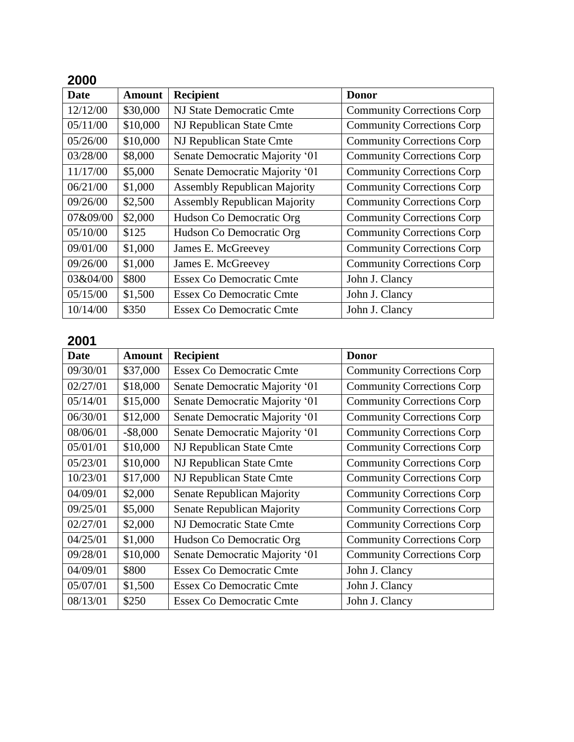|--|--|

| <b>Date</b> | <b>Amount</b> | Recipient                           | <b>Donor</b>                      |
|-------------|---------------|-------------------------------------|-----------------------------------|
| 12/12/00    | \$30,000      | NJ State Democratic Cmte            | <b>Community Corrections Corp</b> |
| 05/11/00    | \$10,000      | NJ Republican State Cmte            | <b>Community Corrections Corp</b> |
| 05/26/00    | \$10,000      | NJ Republican State Cmte            | <b>Community Corrections Corp</b> |
| 03/28/00    | \$8,000       | Senate Democratic Majority '01      | <b>Community Corrections Corp</b> |
| 11/17/00    | \$5,000       | Senate Democratic Majority '01      | <b>Community Corrections Corp</b> |
| 06/21/00    | \$1,000       | <b>Assembly Republican Majority</b> | <b>Community Corrections Corp</b> |
| 09/26/00    | \$2,500       | <b>Assembly Republican Majority</b> | <b>Community Corrections Corp</b> |
| 07&09/00    | \$2,000       | Hudson Co Democratic Org            | <b>Community Corrections Corp</b> |
| 05/10/00    | \$125         | Hudson Co Democratic Org            | <b>Community Corrections Corp</b> |
| 09/01/00    | \$1,000       | James E. McGreevey                  | <b>Community Corrections Corp</b> |
| 09/26/00    | \$1,000       | James E. McGreevey                  | <b>Community Corrections Corp</b> |
| 03&04/00    | \$800         | <b>Essex Co Democratic Cmte</b>     | John J. Clancy                    |
| 05/15/00    | \$1,500       | Essex Co Democratic Cmte            | John J. Clancy                    |
| 10/14/00    | \$350         | <b>Essex Co Democratic Cmte</b>     | John J. Clancy                    |

| <b>Date</b> | <b>Amount</b> | <b>Recipient</b>                | <b>Donor</b>                       |
|-------------|---------------|---------------------------------|------------------------------------|
| 09/30/01    | \$37,000      | <b>Essex Co Democratic Cmte</b> | <b>Community Corrections Corp</b>  |
| 02/27/01    | \$18,000      | Senate Democratic Majority '01  | <b>Community Corrections Corp</b>  |
| 05/14/01    | \$15,000      | Senate Democratic Majority '01  | <b>Community Corrections Corp.</b> |
| 06/30/01    | \$12,000      | Senate Democratic Majority '01  | <b>Community Corrections Corp</b>  |
| 08/06/01    | $-$ \$8,000   | Senate Democratic Majority '01  | <b>Community Corrections Corp</b>  |
| 05/01/01    | \$10,000      | NJ Republican State Cmte        | <b>Community Corrections Corp</b>  |
| 05/23/01    | \$10,000      | NJ Republican State Cmte        | <b>Community Corrections Corp</b>  |
| 10/23/01    | \$17,000      | NJ Republican State Cmte        | <b>Community Corrections Corp.</b> |
| 04/09/01    | \$2,000       | Senate Republican Majority      | <b>Community Corrections Corp</b>  |
| 09/25/01    | \$5,000       | Senate Republican Majority      | <b>Community Corrections Corp</b>  |
| 02/27/01    | \$2,000       | NJ Democratic State Cmte        | <b>Community Corrections Corp</b>  |
| 04/25/01    | \$1,000       | Hudson Co Democratic Org        | <b>Community Corrections Corp</b>  |
| 09/28/01    | \$10,000      | Senate Democratic Majority '01  | <b>Community Corrections Corp.</b> |
| 04/09/01    | \$800         | <b>Essex Co Democratic Cmte</b> | John J. Clancy                     |
| 05/07/01    | \$1,500       | <b>Essex Co Democratic Cmte</b> | John J. Clancy                     |
| 08/13/01    | \$250         | <b>Essex Co Democratic Cmte</b> | John J. Clancy                     |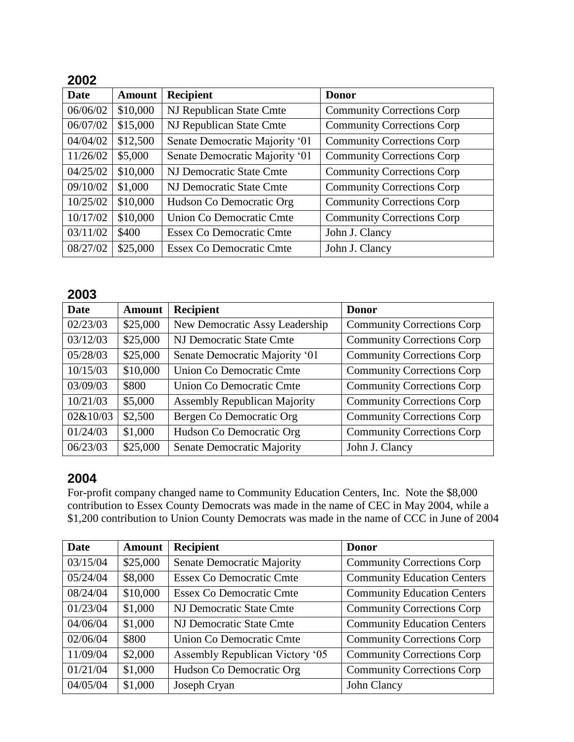| Date     | <b>Amount</b> | <b>Recipient</b>                | <b>Donor</b>                      |
|----------|---------------|---------------------------------|-----------------------------------|
| 06/06/02 | \$10,000      | NJ Republican State Cmte        | <b>Community Corrections Corp</b> |
| 06/07/02 | \$15,000      | NJ Republican State Cmte        | <b>Community Corrections Corp</b> |
| 04/04/02 | \$12,500      | Senate Democratic Majority '01  | <b>Community Corrections Corp</b> |
| 11/26/02 | \$5,000       | Senate Democratic Majority '01  | <b>Community Corrections Corp</b> |
| 04/25/02 | \$10,000      | NJ Democratic State Cmte        | <b>Community Corrections Corp</b> |
| 09/10/02 | \$1,000       | NJ Democratic State Cmte        | <b>Community Corrections Corp</b> |
| 10/25/02 | \$10,000      | Hudson Co Democratic Org        | <b>Community Corrections Corp</b> |
| 10/17/02 | \$10,000      | Union Co Democratic Cmte        | <b>Community Corrections Corp</b> |
| 03/11/02 | \$400         | Essex Co Democratic Cmte        | John J. Clancy                    |
| 08/27/02 | \$25,000      | <b>Essex Co Democratic Cmte</b> | John J. Clancy                    |

#### **2003**

| <b>Date</b> | <b>Amount</b> | <b>Recipient</b>                    | <b>Donor</b>                      |
|-------------|---------------|-------------------------------------|-----------------------------------|
| 02/23/03    | \$25,000      | New Democratic Assy Leadership      | <b>Community Corrections Corp</b> |
| 03/12/03    | \$25,000      | NJ Democratic State Cmte            | <b>Community Corrections Corp</b> |
| 05/28/03    | \$25,000      | Senate Democratic Majority '01      | <b>Community Corrections Corp</b> |
| 10/15/03    | \$10,000      | <b>Union Co Democratic Cmte</b>     | <b>Community Corrections Corp</b> |
| 03/09/03    | \$800         | Union Co Democratic Cmte            | <b>Community Corrections Corp</b> |
| 10/21/03    | \$5,000       | <b>Assembly Republican Majority</b> | <b>Community Corrections Corp</b> |
| 02&10/03    | \$2,500       | Bergen Co Democratic Org            | <b>Community Corrections Corp</b> |
| 01/24/03    | \$1,000       | Hudson Co Democratic Org            | <b>Community Corrections Corp</b> |
| 06/23/03    | \$25,000      | Senate Democratic Majority          | John J. Clancy                    |

### **2004**

For-profit company changed name to Community Education Centers, Inc. Note the \$8,000 contribution to Essex County Democrats was made in the name of CEC in May 2004, while a \$1,200 contribution to Union County Democrats was made in the name of CCC in June of 2004

| <b>Date</b> | <b>Amount</b> | <b>Recipient</b>                  | <b>Donor</b>                       |
|-------------|---------------|-----------------------------------|------------------------------------|
| 03/15/04    | \$25,000      | <b>Senate Democratic Majority</b> | <b>Community Corrections Corp</b>  |
| 05/24/04    | \$8,000       | <b>Essex Co Democratic Cmte</b>   | <b>Community Education Centers</b> |
| 08/24/04    | \$10,000      | Essex Co Democratic Cmte          | <b>Community Education Centers</b> |
| 01/23/04    | \$1,000       | NJ Democratic State Cmte          | <b>Community Corrections Corp</b>  |
| 04/06/04    | \$1,000       | NJ Democratic State Cmte          | <b>Community Education Centers</b> |
| 02/06/04    | \$800         | Union Co Democratic Cmte          | <b>Community Corrections Corp</b>  |
| 11/09/04    | \$2,000       | Assembly Republican Victory '05   | <b>Community Corrections Corp</b>  |
| 01/21/04    | \$1,000       | Hudson Co Democratic Org          | <b>Community Corrections Corp</b>  |
| 04/05/04    | \$1,000       | Joseph Cryan                      | John Clancy                        |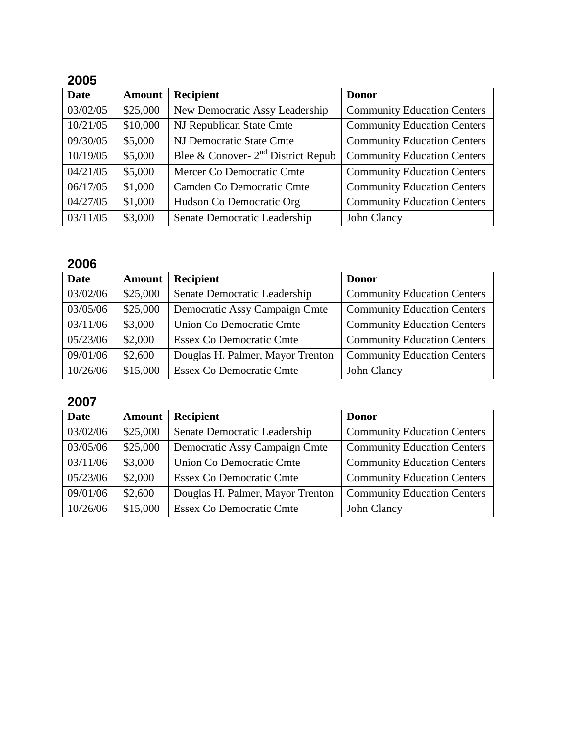| <b>Date</b> | <b>Amount</b> | Recipient                            | <b>Donor</b>                       |
|-------------|---------------|--------------------------------------|------------------------------------|
| 03/02/05    | \$25,000      | New Democratic Assy Leadership       | <b>Community Education Centers</b> |
| 10/21/05    | \$10,000      | NJ Republican State Cmte             | <b>Community Education Centers</b> |
| 09/30/05    | \$5,000       | NJ Democratic State Cmte             | <b>Community Education Centers</b> |
| 10/19/05    | \$5,000       | Blee & Conover- $2nd$ District Repub | <b>Community Education Centers</b> |
| 04/21/05    | \$5,000       | Mercer Co Democratic Cmte            | <b>Community Education Centers</b> |
| 06/17/05    | \$1,000       | Camden Co Democratic Cmte            | <b>Community Education Centers</b> |
| 04/27/05    | \$1,000       | Hudson Co Democratic Org             | <b>Community Education Centers</b> |
| 03/11/05    | \$3,000       | Senate Democratic Leadership         | John Clancy                        |

# **2006**

| <b>Date</b> | <b>Amount</b> | <b>Recipient</b>                 | <b>Donor</b>                       |
|-------------|---------------|----------------------------------|------------------------------------|
| 03/02/06    | \$25,000      | Senate Democratic Leadership     | <b>Community Education Centers</b> |
| 03/05/06    | \$25,000      | Democratic Assy Campaign Cmte    | <b>Community Education Centers</b> |
| 03/11/06    | \$3,000       | Union Co Democratic Cmte         | <b>Community Education Centers</b> |
| 05/23/06    | \$2,000       | <b>Essex Co Democratic Cmte</b>  | <b>Community Education Centers</b> |
| 09/01/06    | \$2,600       | Douglas H. Palmer, Mayor Trenton | <b>Community Education Centers</b> |
| 10/26/06    | \$15,000      | <b>Essex Co Democratic Cmte</b>  | John Clancy                        |

# **2007**

| <b>Date</b> | <b>Amount</b> | <b>Recipient</b>                 | <b>Donor</b>                       |
|-------------|---------------|----------------------------------|------------------------------------|
| 03/02/06    | \$25,000      | Senate Democratic Leadership     | <b>Community Education Centers</b> |
| 03/05/06    | \$25,000      | Democratic Assy Campaign Cmte    | <b>Community Education Centers</b> |
| 03/11/06    | \$3,000       | Union Co Democratic Cmte         | <b>Community Education Centers</b> |
| 05/23/06    | \$2,000       | <b>Essex Co Democratic Cmte</b>  | <b>Community Education Centers</b> |
| 09/01/06    | \$2,600       | Douglas H. Palmer, Mayor Trenton | <b>Community Education Centers</b> |
| 10/26/06    | \$15,000      | <b>Essex Co Democratic Cmte</b>  | John Clancy                        |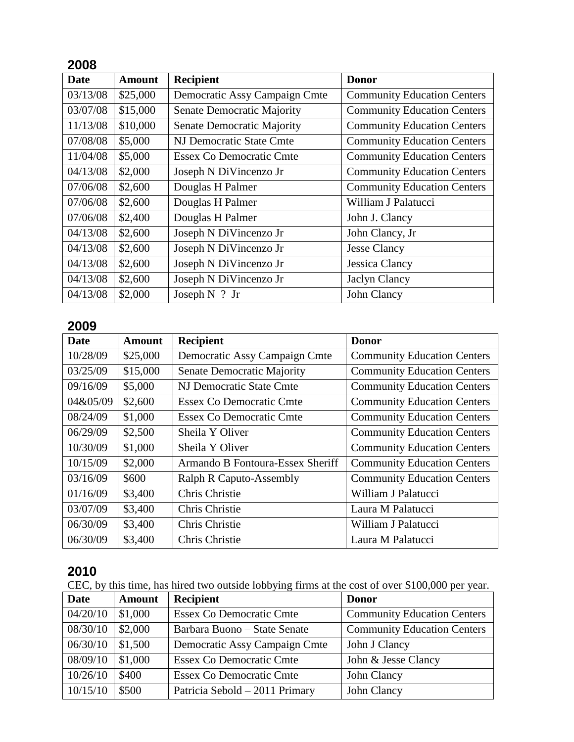| <b>Date</b> | <b>Amount</b> | <b>Recipient</b>                  | <b>Donor</b>                       |
|-------------|---------------|-----------------------------------|------------------------------------|
| 03/13/08    | \$25,000      | Democratic Assy Campaign Cmte     | <b>Community Education Centers</b> |
| 03/07/08    | \$15,000      | Senate Democratic Majority        | <b>Community Education Centers</b> |
| 11/13/08    | \$10,000      | <b>Senate Democratic Majority</b> | <b>Community Education Centers</b> |
| 07/08/08    | \$5,000       | NJ Democratic State Cmte          | <b>Community Education Centers</b> |
| 11/04/08    | \$5,000       | <b>Essex Co Democratic Cmte</b>   | <b>Community Education Centers</b> |
| 04/13/08    | \$2,000       | Joseph N DiVincenzo Jr            | <b>Community Education Centers</b> |
| 07/06/08    | \$2,600       | Douglas H Palmer                  | <b>Community Education Centers</b> |
| 07/06/08    | \$2,600       | Douglas H Palmer                  | William J Palatucci                |
| 07/06/08    | \$2,400       | Douglas H Palmer                  | John J. Clancy                     |
| 04/13/08    | \$2,600       | Joseph N DiVincenzo Jr            | John Clancy, Jr                    |
| 04/13/08    | \$2,600       | Joseph N DiVincenzo Jr            | <b>Jesse Clancy</b>                |
| 04/13/08    | \$2,600       | Joseph N DiVincenzo Jr            | Jessica Clancy                     |
| 04/13/08    | \$2,600       | Joseph N DiVincenzo Jr            | <b>Jaclyn Clancy</b>               |
| 04/13/08    | \$2,000       | John Clancy<br>Joseph $N$ ? Jr    |                                    |

### **2009**

| <b>Date</b> | <b>Amount</b> | <b>Recipient</b>                  | <b>Donor</b>                       |  |
|-------------|---------------|-----------------------------------|------------------------------------|--|
| 10/28/09    | \$25,000      | Democratic Assy Campaign Cmte     | <b>Community Education Centers</b> |  |
| 03/25/09    | \$15,000      | <b>Senate Democratic Majority</b> | <b>Community Education Centers</b> |  |
| 09/16/09    | \$5,000       | NJ Democratic State Cmte          | <b>Community Education Centers</b> |  |
| 04&05/09    | \$2,600       | <b>Essex Co Democratic Cmte</b>   | <b>Community Education Centers</b> |  |
| 08/24/09    | \$1,000       | <b>Essex Co Democratic Cmte</b>   | <b>Community Education Centers</b> |  |
| 06/29/09    | \$2,500       | Sheila Y Oliver                   | <b>Community Education Centers</b> |  |
| 10/30/09    | \$1,000       | Sheila Y Oliver                   | <b>Community Education Centers</b> |  |
| 10/15/09    | \$2,000       | Armando B Fontoura-Essex Sheriff  | <b>Community Education Centers</b> |  |
| 03/16/09    | \$600         | <b>Ralph R Caputo-Assembly</b>    | <b>Community Education Centers</b> |  |
| 01/16/09    | \$3,400       | <b>Chris Christie</b>             | William J Palatucci                |  |
| 03/07/09    | \$3,400       | Chris Christie                    | Laura M Palatucci                  |  |
| 06/30/09    | \$3,400       | Chris Christie                    | William J Palatucci                |  |
| 06/30/09    | \$3,400       | Chris Christie                    | Laura M Palatucci                  |  |

## **2010**

CEC, by this time, has hired two outside lobbying firms at the cost of over \$100,000 per year.

| <b>Date</b> | <b>Amount</b> | <b>Recipient</b>                | <b>Donor</b>                       |
|-------------|---------------|---------------------------------|------------------------------------|
| 04/20/10    | \$1,000       | <b>Essex Co Democratic Cmte</b> | <b>Community Education Centers</b> |
| 08/30/10    | \$2,000       | Barbara Buono – State Senate    | <b>Community Education Centers</b> |
| 06/30/10    | \$1,500       | Democratic Assy Campaign Cmte   | John J Clancy                      |
| 08/09/10    | \$1,000       | <b>Essex Co Democratic Cmte</b> | John & Jesse Clancy                |
| 10/26/10    | \$400         | <b>Essex Co Democratic Cmte</b> | John Clancy                        |
| 10/15/10    | \$500         | Patricia Sebold - 2011 Primary  | John Clancy                        |